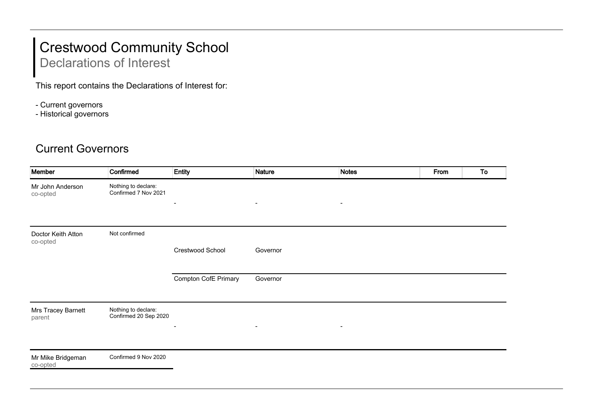## Crestwood Community School

## Declarations of Interest

This report contains the Declarations of Interest for:

- Current governors
- Historical governors

## Current Governors

| Member                         | Confirmed                                    | Entity                      | <b>Nature</b>            | <b>Notes</b>   | From | To |
|--------------------------------|----------------------------------------------|-----------------------------|--------------------------|----------------|------|----|
| Mr John Anderson<br>co-opted   | Nothing to declare:<br>Confirmed 7 Nov 2021  | $\blacksquare$              | $\overline{\phantom{a}}$ | $\blacksquare$ |      |    |
|                                |                                              |                             |                          |                |      |    |
| Doctor Keith Atton<br>co-opted | Not confirmed                                |                             |                          |                |      |    |
|                                |                                              | Crestwood School            | Governor                 |                |      |    |
|                                |                                              | <b>Compton CofE Primary</b> | Governor                 |                |      |    |
| Mrs Tracey Barnett<br>parent   | Nothing to declare:<br>Confirmed 20 Sep 2020 | $\blacksquare$              | $\blacksquare$           | $\blacksquare$ |      |    |
|                                |                                              |                             |                          |                |      |    |
| Mr Mike Bridgeman<br>co-opted  | Confirmed 9 Nov 2020                         |                             |                          |                |      |    |
|                                |                                              |                             |                          |                |      |    |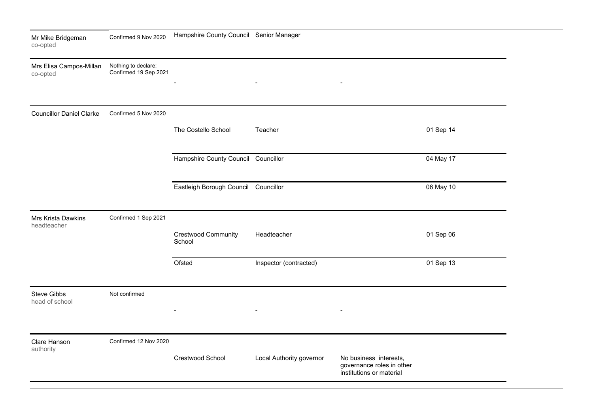| Mr Mike Bridgeman<br>co-opted       | Confirmed 9 Nov 2020                         | Hampshire County Council Senior Manager |                          |                                                                                 |           |  |
|-------------------------------------|----------------------------------------------|-----------------------------------------|--------------------------|---------------------------------------------------------------------------------|-----------|--|
| Mrs Elisa Campos-Millan<br>co-opted | Nothing to declare:<br>Confirmed 19 Sep 2021 |                                         |                          | $\overline{\phantom{a}}$                                                        |           |  |
| <b>Councillor Daniel Clarke</b>     | Confirmed 5 Nov 2020                         | The Costello School                     | Teacher                  |                                                                                 | 01 Sep 14 |  |
|                                     |                                              | Hampshire County Council Councillor     |                          |                                                                                 | 04 May 17 |  |
|                                     |                                              | Eastleigh Borough Council Councillor    |                          |                                                                                 | 06 May 10 |  |
| Mrs Krista Dawkins<br>headteacher   | Confirmed 1 Sep 2021                         | Crestwood Community<br>School           | Headteacher              |                                                                                 | 01 Sep 06 |  |
|                                     |                                              | Ofsted                                  | Inspector (contracted)   |                                                                                 | 01 Sep 13 |  |
| Steve Gibbs<br>head of school       | Not confirmed                                |                                         | $\blacksquare$           | $\blacksquare$                                                                  |           |  |
| Clare Hanson<br>authority           | Confirmed 12 Nov 2020                        | Crestwood School                        | Local Authority governor | No business interests,<br>governance roles in other<br>institutions or material |           |  |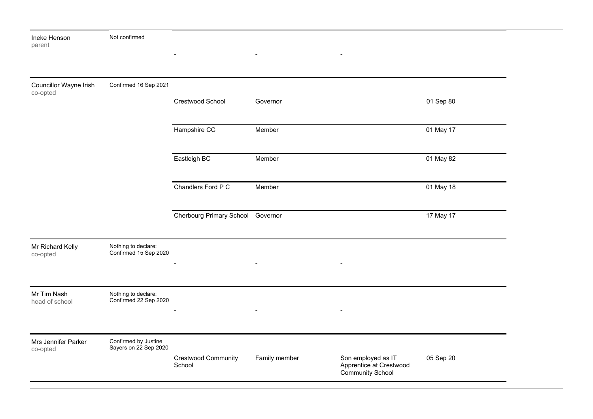| Ineke Henson<br>parent             | Not confirmed                                 | $\blacksquare$                    | $\blacksquare$           |                                                                          |           |  |
|------------------------------------|-----------------------------------------------|-----------------------------------|--------------------------|--------------------------------------------------------------------------|-----------|--|
|                                    |                                               |                                   |                          |                                                                          |           |  |
| Councillor Wayne Irish<br>co-opted | Confirmed 16 Sep 2021                         | Crestwood School                  | Governor                 |                                                                          | 01 Sep 80 |  |
|                                    |                                               | Hampshire CC                      | Member                   |                                                                          | 01 May 17 |  |
|                                    |                                               | Eastleigh BC                      | Member                   |                                                                          | 01 May 82 |  |
|                                    |                                               | Chandlers Ford P C                | Member                   |                                                                          | 01 May 18 |  |
|                                    |                                               | Cherbourg Primary School Governor |                          |                                                                          | 17 May 17 |  |
| Mr Richard Kelly<br>co-opted       | Nothing to declare:<br>Confirmed 15 Sep 2020  |                                   | $\blacksquare$           |                                                                          |           |  |
| Mr Tim Nash<br>head of school      | Nothing to declare:<br>Confirmed 22 Sep 2020  | $\blacksquare$                    | $\overline{\phantom{0}}$ |                                                                          |           |  |
| Mrs Jennifer Parker<br>co-opted    | Confirmed by Justine<br>Sayers on 22 Sep 2020 | Crestwood Community<br>School     | Family member            | Son employed as IT<br>Apprentice at Crestwood<br><b>Community School</b> | 05 Sep 20 |  |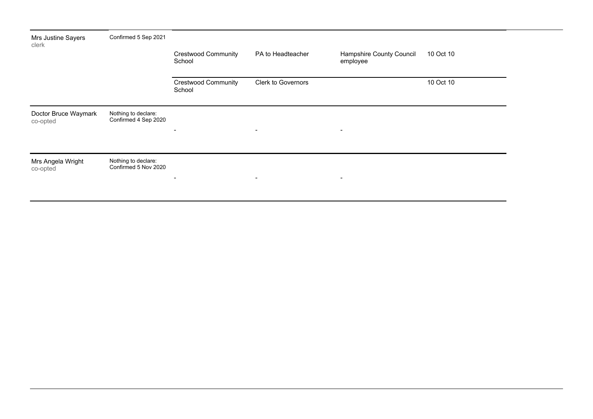| Mrs Justine Sayers<br>clerk      | Confirmed 5 Sep 2021                        |                                      |                          |                                      |           |
|----------------------------------|---------------------------------------------|--------------------------------------|--------------------------|--------------------------------------|-----------|
|                                  |                                             | <b>Crestwood Community</b><br>School | PA to Headteacher        | Hampshire County Council<br>employee | 10 Oct 10 |
|                                  |                                             | <b>Crestwood Community</b><br>School | Clerk to Governors       |                                      | 10 Oct 10 |
| Doctor Bruce Waymark<br>co-opted | Nothing to declare:<br>Confirmed 4 Sep 2020 | $\overline{\phantom{a}}$             | $\blacksquare$           | $\blacksquare$                       |           |
| Mrs Angela Wright<br>co-opted    | Nothing to declare:<br>Confirmed 5 Nov 2020 | $\blacksquare$                       | $\overline{\phantom{a}}$ | $\blacksquare$                       |           |